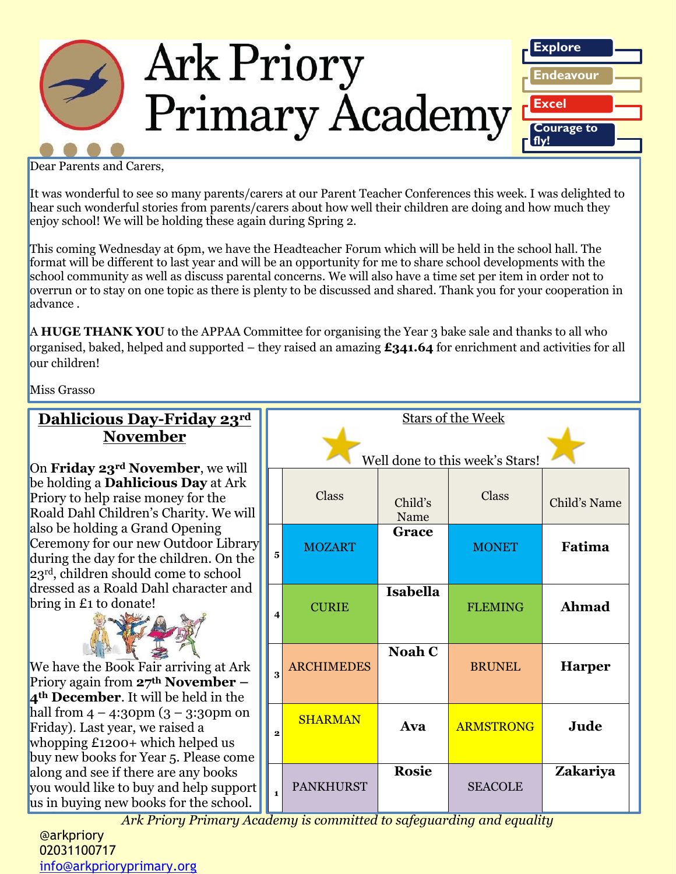

Dear Parents and Carers,

It was wonderful to see so many parents/carers at our Parent Teacher Conferences this week. I was delighted to hear such wonderful stories from parents/carers about how well their children are doing and how much they enjoy school! We will be holding these again during Spring 2.

This coming Wednesday at 6pm, we have the Headteacher Forum which will be held in the school hall. The format will be different to last year and will be an opportunity for me to share school developments with the school community as well as discuss parental concerns. We will also have a time set per item in order not to overrun or to stay on one topic as there is plenty to be discussed and shared. Thank you for your cooperation in advance .

A **HUGE THANK YOU** to the APPAA Committee for organising the Year 3 bake sale and thanks to all who organised, baked, helped and supported – they raised an amazing **£341.64** for enrichment and activities for all our children!

Miss Grasso

| Dahlicious Day-Friday 23rd<br><b>November</b>                                                                                                                                                                                                                                                                                                                                                                                                                                                                                                                                                                                                                | <b>Stars of the Week</b>        |                   |                 |                  |               |
|--------------------------------------------------------------------------------------------------------------------------------------------------------------------------------------------------------------------------------------------------------------------------------------------------------------------------------------------------------------------------------------------------------------------------------------------------------------------------------------------------------------------------------------------------------------------------------------------------------------------------------------------------------------|---------------------------------|-------------------|-----------------|------------------|---------------|
| On Friday 23rd November, we will                                                                                                                                                                                                                                                                                                                                                                                                                                                                                                                                                                                                                             | Well done to this week's Stars! |                   |                 |                  |               |
| be holding a <b>Dahlicious Day</b> at Ark<br>Priory to help raise money for the<br>Roald Dahl Children's Charity. We will<br>also be holding a Grand Opening<br>Ceremony for our new Outdoor Library<br>during the day for the children. On the<br>23rd, children should come to school<br>dressed as a Roald Dahl character and<br>bring in £1 to donate!<br>We have the Book Fair arriving at Ark<br>Priory again from $27th$ November –<br>4 <sup>th</sup> December. It will be held in the<br>hall from $4 - 4:3$ opm $(3 - 3:3$ opm on<br>Friday). Last year, we raised a<br>whopping $£1200+$ which helped us<br>buy new books for Year 5. Please come |                                 | Class             | Child's<br>Name | Class            | Child's Name  |
|                                                                                                                                                                                                                                                                                                                                                                                                                                                                                                                                                                                                                                                              | $\overline{\mathbf{5}}$         | <b>MOZART</b>     | <b>Grace</b>    | <b>MONET</b>     | Fatima        |
|                                                                                                                                                                                                                                                                                                                                                                                                                                                                                                                                                                                                                                                              | $\overline{4}$                  | <b>CURIE</b>      | <b>Isabella</b> | <b>FLEMING</b>   | Ahmad         |
|                                                                                                                                                                                                                                                                                                                                                                                                                                                                                                                                                                                                                                                              | $\overline{\mathbf{3}}$         | <b>ARCHIMEDES</b> | <b>Noah C</b>   | <b>BRUNEL</b>    | <b>Harper</b> |
|                                                                                                                                                                                                                                                                                                                                                                                                                                                                                                                                                                                                                                                              | $\bf{2}$                        | <b>SHARMAN</b>    | Ava             | <b>ARMSTRONG</b> | Jude          |
| along and see if there are any books<br>you would like to buy and help support<br>us in buying new books for the school.<br>Ark Priory Primary Academy is committed to safeguarding and equality                                                                                                                                                                                                                                                                                                                                                                                                                                                             | $\mathbf{1}$                    | <b>PANKHURST</b>  | <b>Rosie</b>    | <b>SEACOLE</b>   | Zakariya      |

**Christmas Shopping Christmas Shopping Christmas Shopping Christmas Shopping Christmas Shopping Christmas Shoppi** 02031100717 [info@arkprioryprimary.org](mailto:info@arkprioryprimary.org)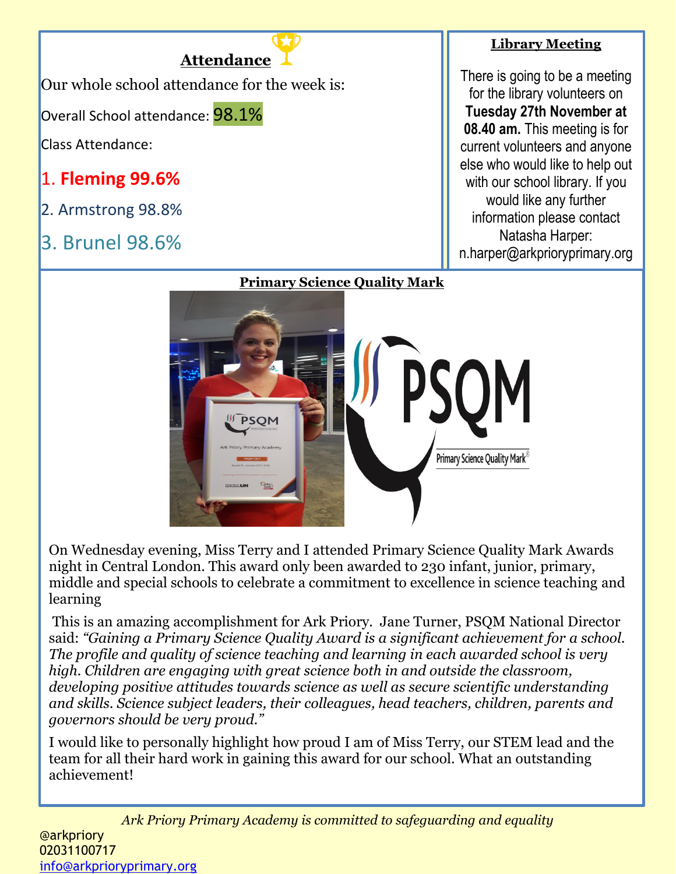

# **Library Meeting**

There is going to be a meeting for the library volunteers on **Tuesday 27th November at 08.40 am.** This meeting is for current volunteers and anyone else who would like to help out with our school library. If you would like any further information please contact Natasha Harper: n.harper@arkprioryprimary.org



On Wednesday evening, Miss Terry and I attended Primary Science Quality Mark Awards night in Central London. This award only been awarded to 230 infant, junior, primary, middle and special schools to celebrate a commitment to excellence in science teaching and learning

This is an amazing accomplishment for Ark Priory. Jane Turner, PSQM National Director said: *"Gaining a Primary Science Quality Award is a significant achievement for a school. The profile and quality of science teaching and learning in each awarded school is very high. Children are engaging with great science both in and outside the classroom, developing positive attitudes towards science as well as secure scientific understanding and skills. Science subject leaders, their colleagues, head teachers, children, parents and governors should be very proud."*

I would like to personally highlight how proud I am of Miss Terry, our STEM lead and the team for all their hard work in gaining this award for our school. What an outstanding achievement!

*Ark Priory Primary Academy is committed to safeguarding and equality*  @arkpriory 02031100717 [info@arkprioryprimary.org](mailto:info@arkprioryprimary.org)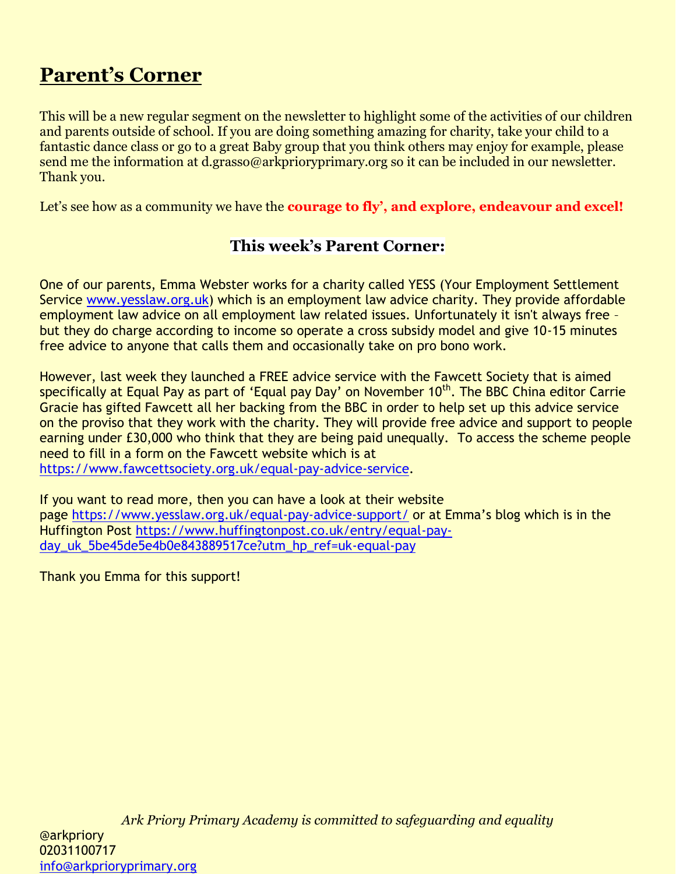# **Parent's Corner**

This will be a new regular segment on the newsletter to highlight some of the activities of our children and parents outside of school. If you are doing something amazing for charity, take your child to a fantastic dance class or go to a great Baby group that you think others may enjoy for example, please send me the information at d.grasso@arkprioryprimary.org so it can be included in our newsletter. Thank you.

Let's see how as a community we have the **courage to fly'**, and explore, endeavour and excel!

# **This week's Parent Corner:**

One of our parents, Emma Webster works for a charity called YESS (Your Employment Settlement Service [www.yesslaw.org.uk\)](http://www.yesslaw.org.uk/) which is an employment law advice charity. They provide affordable employment law advice on all employment law related issues. Unfortunately it isn't always free – but they do charge according to income so operate a cross subsidy model and give 10-15 minutes free advice to anyone that calls them and occasionally take on pro bono work.

However, last week they launched a FREE advice service with the Fawcett Society that is aimed specifically at Equal Pay as part of 'Equal pay Day' on November 10<sup>th</sup>. The BBC China editor Carrie Gracie has gifted Fawcett all her backing from the BBC in order to help set up this advice service on the proviso that they work with the charity. They will provide free advice and support to people earning under £30,000 who think that they are being paid unequally. To access the scheme people need to fill in a form on the Fawcett website which is at

[https://www.fawcettsociety.org.uk/equal-pay-advice-service.](https://www.fawcettsociety.org.uk/equal-pay-advice-service)

If you want to read more, then you can have a look at their website page <https://www.yesslaw.org.uk/equal-pay-advice-support/> or at Emma's blog which is in the Huffington Post [https://www.huffingtonpost.co.uk/entry/equal-pay](https://www.huffingtonpost.co.uk/entry/equal-pay-day_uk_5be45de5e4b0e843889517ce?utm_hp_ref=uk-equal-pay)day uk 5be45de5e4b0e843889517ce?utm\_hp\_ref=uk-equal-pay

Thank you Emma for this support!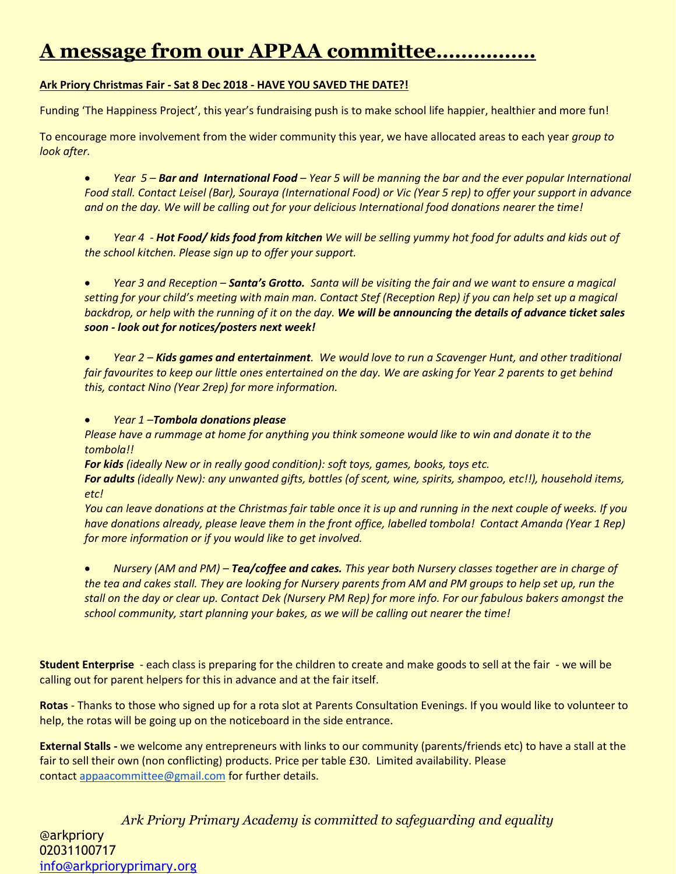# **A message from our APPAA committee…………….**

### **Ark Priory Christmas Fair - Sat 8 Dec 2018 - HAVE YOU SAVED THE DATE?!**

Funding 'The Happiness Project', this year's fundraising push is to make school life happier, healthier and more fun!

To encourage more involvement from the wider community this year, we have allocated areas to each year *group to look after.*

 *Year 5 – Bar and International Food – Year 5 will be manning the bar and the ever popular International Food stall. Contact Leisel (Bar), Souraya (International Food) or Vic (Year 5 rep) to offer your support in advance and on the day. We will be calling out for your delicious International food donations nearer the time!*

 *Year 4 - Hot Food/ kids food from kitchen We will be selling yummy hot food for adults and kids out of the school kitchen. Please sign up to offer your support.* 

 *Year 3 and Reception – Santa's Grotto. Santa will be visiting the fair and we want to ensure a magical setting for your child's meeting with main man. Contact Stef (Reception Rep) if you can help set up a magical backdrop, or help with the running of it on the day. We will be announcing the details of advance ticket sales soon - look out for notices/posters next week!*

 *Year 2 – Kids games and entertainment. We would love to run a Scavenger Hunt, and other traditional fair favourites to keep our little ones entertained on the day. We are asking for Year 2 parents to get behind this, contact Nino (Year 2rep) for more information.*

*Year 1 –Tombola donations please*

*Please have a rummage at home for anything you think someone would like to win and donate it to the tombola!!*

*For kids (ideally New or in really good condition): soft toys, games, books, toys etc.*

*For adults (ideally New): any unwanted gifts, bottles (of scent, wine, spirits, shampoo, etc!!), household items, etc!*

*You can leave donations at the Christmas fair table once it is up and running in the next couple of weeks. If you have donations already, please leave them in the front office, labelled tombola! Contact Amanda (Year 1 Rep) for more information or if you would like to get involved.*

 *Nursery (AM and PM) – Tea/coffee and cakes. This year both Nursery classes together are in charge of the tea and cakes stall. They are looking for Nursery parents from AM and PM groups to help set up, run the stall on the day or clear up. Contact Dek (Nursery PM Rep) for more info. For our fabulous bakers amongst the school community, start planning your bakes, as we will be calling out nearer the time!*

**Student Enterprise** - each class is preparing for the children to create and make goods to sell at the fair - we will be calling out for parent helpers for this in advance and at the fair itself.

**Rotas** - Thanks to those who signed up for a rota slot at Parents Consultation Evenings. If you would like to volunteer to help, the rotas will be going up on the noticeboard in the side entrance.

**External Stalls -** we welcome any entrepreneurs with links to our community (parents/friends etc) to have a stall at the fair to sell their own (non conflicting) products. Price per table £30. Limited availability. Please contact [appaacommittee@gmail.com](mailto:appaacommittee@gmail.com) for further details.

*Ark Priory Primary Academy is committed to safeguarding and equality*  @arkpriory 02031100717 [info@arkprioryprimary.org](mailto:info@arkprioryprimary.org)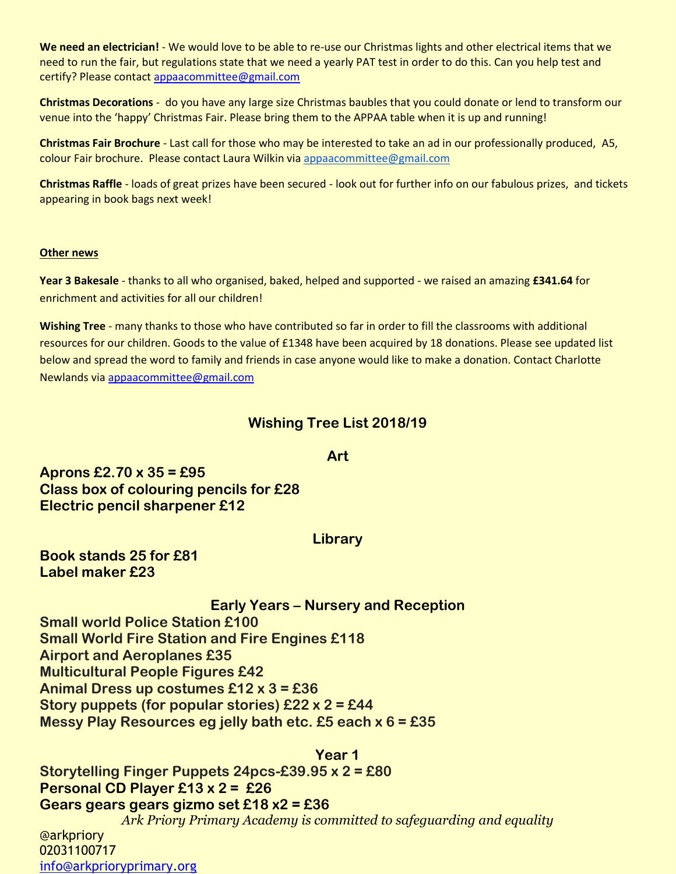**We need an electrician!** - We would love to be able to re-use our Christmas lights and other electrical items that we need to run the fair, but regulations state that we need a yearly PAT test in order to do this. Can you help test and certify? Please contact [appaacommittee@gmail.com](mailto:appaacommittee@gmail.com)

**Christmas Decorations** - do you have any large size Christmas baubles that you could donate or lend to transform our venue into the 'happy' Christmas Fair. Please bring them to the APPAA table when it is up and running!

**Christmas Fair Brochure** - Last call for those who may be interested to take an ad in our professionally produced, A5, colour Fair brochure. Please contact Laura Wilkin via [appaacommittee@gmail.com](mailto:appaacommittee@gmail.com)

**Christmas Raffle** - loads of great prizes have been secured - look out for further info on our fabulous prizes, and tickets appearing in book bags next week!

#### **Other news**

**Year 3 Bakesale** - thanks to all who organised, baked, helped and supported - we raised an amazing **£341.64** for enrichment and activities for all our children!

**Wishing Tree** - many thanks to those who have contributed so far in order to fill the classrooms with additional resources for our children. Goods to the value of £1348 have been acquired by 18 donations. Please see updated list below and spread the word to family and friends in case anyone would like to make a donation. Contact Charlotte Newlands via [appaacommittee@gmail.com](mailto:appaacommittee@gmail.com)

# **Wishing Tree List 2018/19**

### **Art**

**Aprons £2.70 x 35 = £95 Class box of colouring pencils for £28 Electric pencil sharpener £12**

#### **Library**

**Book stands 25 for £81 Label maker £23**

**Early Years – Nursery and Reception**

**Small world Police Station £100**

**Small World Fire Station and Fire Engines £118**

**Airport and Aeroplanes £35**

**Multicultural People Figures £42**

**Animal Dress up costumes £12 x 3 = £36**

**Story puppets (for popular stories) £22 x 2 = £44**

**Messy Play Resources eg jelly bath etc. £5 each x 6 = £35**

*Ark Priory Primary Academy is committed to safeguarding and equality*  **Year 1 Storytelling Finger Puppets 24pcs-£39.95 x 2 = £80 Personal CD Player £13 x 2 = £26 Gears gears gears gizmo set £18 x2 = £36**

@arkpriory 02031100717 [info@arkprioryprimary.org](mailto:info@arkprioryprimary.org)